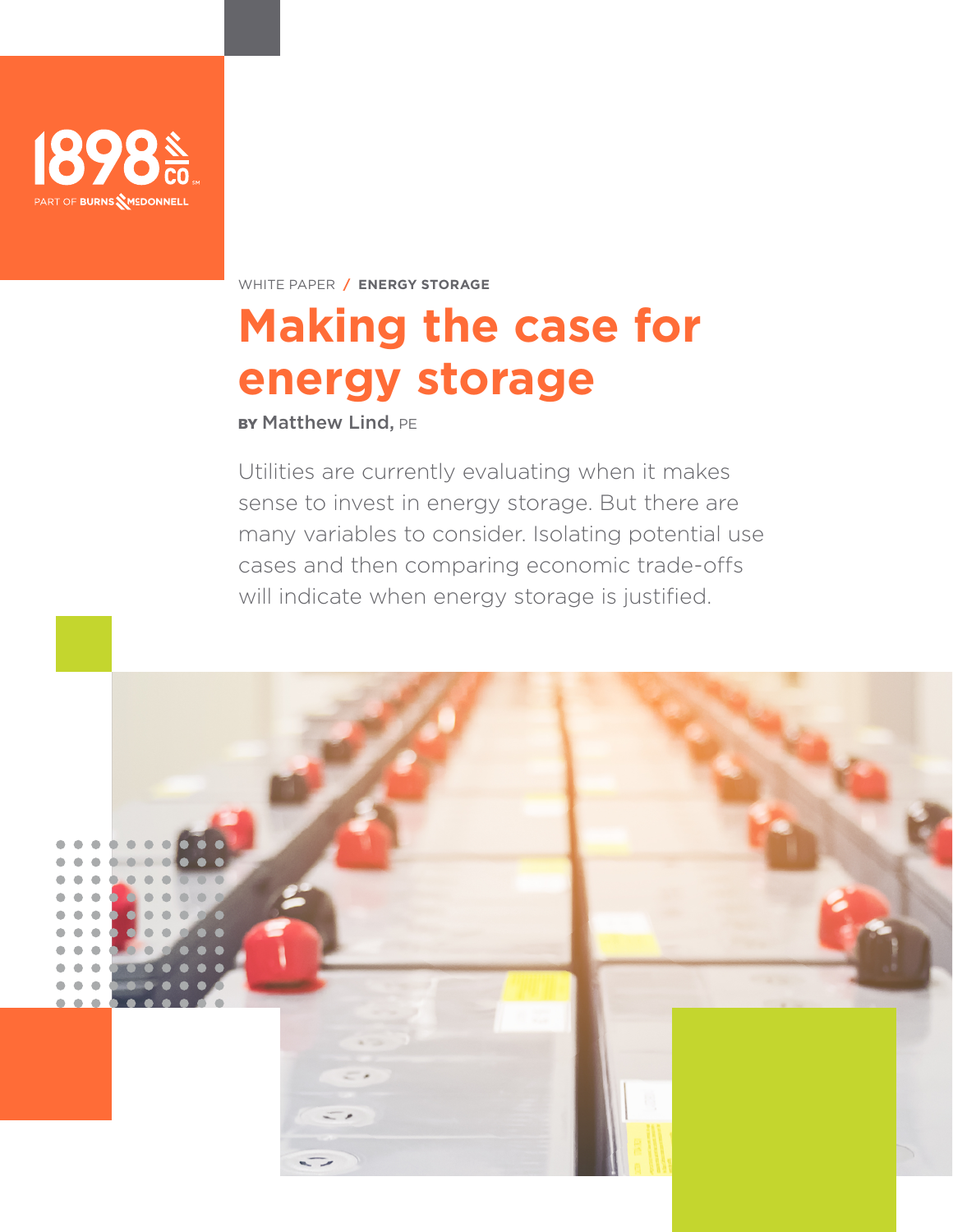

WHITE PAPER **/ ENERGY STORAGE**

# **Making the case for energy storage**

BY Matthew Lind, PE

Utilities are currently evaluating when it makes sense to invest in energy storage. But there are many variables to consider. Isolating potential use cases and then comparing economic trade-offs will indicate when energy storage is justified.

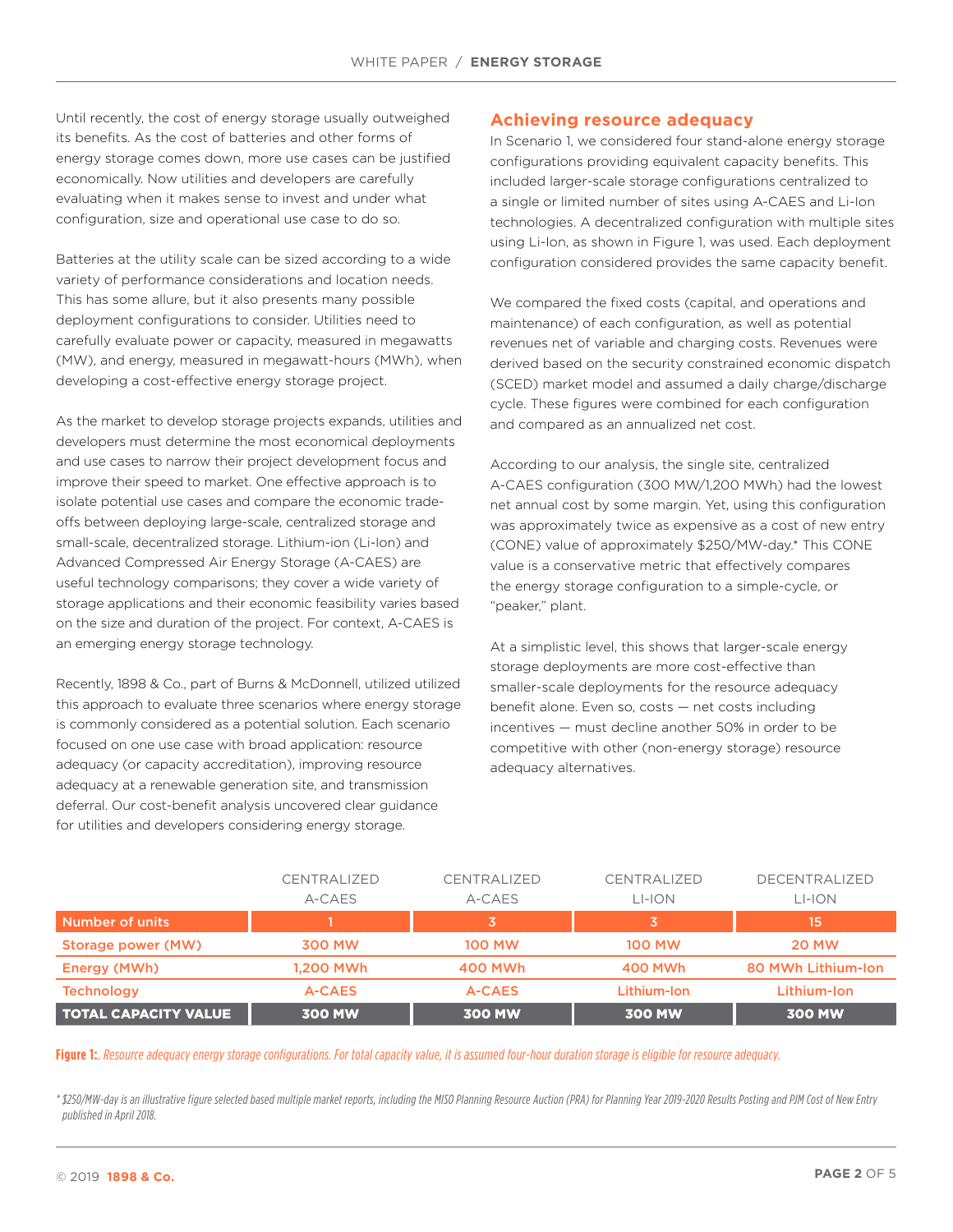Until recently, the cost of energy storage usually outweighed its benefits. As the cost of batteries and other forms of energy storage comes down, more use cases can be justified economically. Now utilities and developers are carefully evaluating when it makes sense to invest and under what configuration, size and operational use case to do so.

Batteries at the utility scale can be sized according to a wide variety of performance considerations and location needs. This has some allure, but it also presents many possible deployment configurations to consider. Utilities need to carefully evaluate power or capacity, measured in megawatts (MW), and energy, measured in megawatt-hours (MWh), when developing a cost-effective energy storage project.

As the market to develop storage projects expands, utilities and developers must determine the most economical deployments and use cases to narrow their project development focus and improve their speed to market. One effective approach is to isolate potential use cases and compare the economic tradeoffs between deploying large-scale, centralized storage and small-scale, decentralized storage. Lithium-ion (Li-Ion) and Advanced Compressed Air Energy Storage (A-CAES) are useful technology comparisons; they cover a wide variety of storage applications and their economic feasibility varies based on the size and duration of the project. For context, A-CAES is an emerging energy storage technology.

Recently, 1898 & Co., part of Burns & McDonnell, utilized utilized this approach to evaluate three scenarios where energy storage is commonly considered as a potential solution. Each scenario focused on one use case with broad application: resource adequacy (or capacity accreditation), improving resource adequacy at a renewable generation site, and transmission deferral. Our cost-benefit analysis uncovered clear guidance for utilities and developers considering energy storage.

#### **Achieving resource adequacy**

In Scenario 1, we considered four stand-alone energy storage configurations providing equivalent capacity benefits. This included larger-scale storage configurations centralized to a single or limited number of sites using A-CAES and Li-Ion technologies. A decentralized configuration with multiple sites using Li-Ion, as shown in Figure 1, was used. Each deployment configuration considered provides the same capacity benefit.

We compared the fixed costs (capital, and operations and maintenance) of each configuration, as well as potential revenues net of variable and charging costs. Revenues were derived based on the security constrained economic dispatch (SCED) market model and assumed a daily charge/discharge cycle. These figures were combined for each configuration and compared as an annualized net cost.

According to our analysis, the single site, centralized A-CAES configuration (300 MW/1,200 MWh) had the lowest net annual cost by some margin. Yet, using this configuration was approximately twice as expensive as a cost of new entry (CONE) value of approximately \$250/MW-day.\* This CONE value is a conservative metric that effectively compares the energy storage configuration to a simple-cycle, or "peaker," plant.

At a simplistic level, this shows that larger-scale energy storage deployments are more cost-effective than smaller-scale deployments for the resource adequacy benefit alone. Even so, costs — net costs including incentives — must decline another 50% in order to be competitive with other (non-energy storage) resource adequacy alternatives.

|                             | CENTRALIZED   | CENTRALIZED   | CENTRALIZED    | <b>DECENTRALIZED</b> |
|-----------------------------|---------------|---------------|----------------|----------------------|
|                             | A-CAES        | A-CAES        | $LI$ -ION      | LI-ION               |
| Number of units <b>N</b>    |               | 13            |                | 15                   |
| Storage power (MW)          | <b>300 MW</b> | <b>100 MW</b> | <b>100 MW</b>  | <b>20 MW</b>         |
| Energy (MWh)                | 1,200 MWh     | 400 MWh       | <b>400 MWh</b> | 80 MWh Lithium-Ion   |
| <b>Technology</b>           | A-CAES        | A-CAES        | Lithium-Ion    | Lithium-Ion          |
| <b>TOTAL CAPACITY VALUE</b> | <b>300 MW</b> | <b>300 MW</b> | <b>300 MW</b>  | <b>300 MW</b>        |

**Figure 1:***. Resource adequacy energy storage configurations. For total capacity value, it is assumed four-hour duration storage is eligible for resource adequacy.*

*\* \$250/MW-day is an illustrative figure selected based multiple market reports, including the MISO Planning Resource Auction (PRA) for Planning Year 2019-2020 Results Posting and PJM Cost of New Entry published in April 2018.*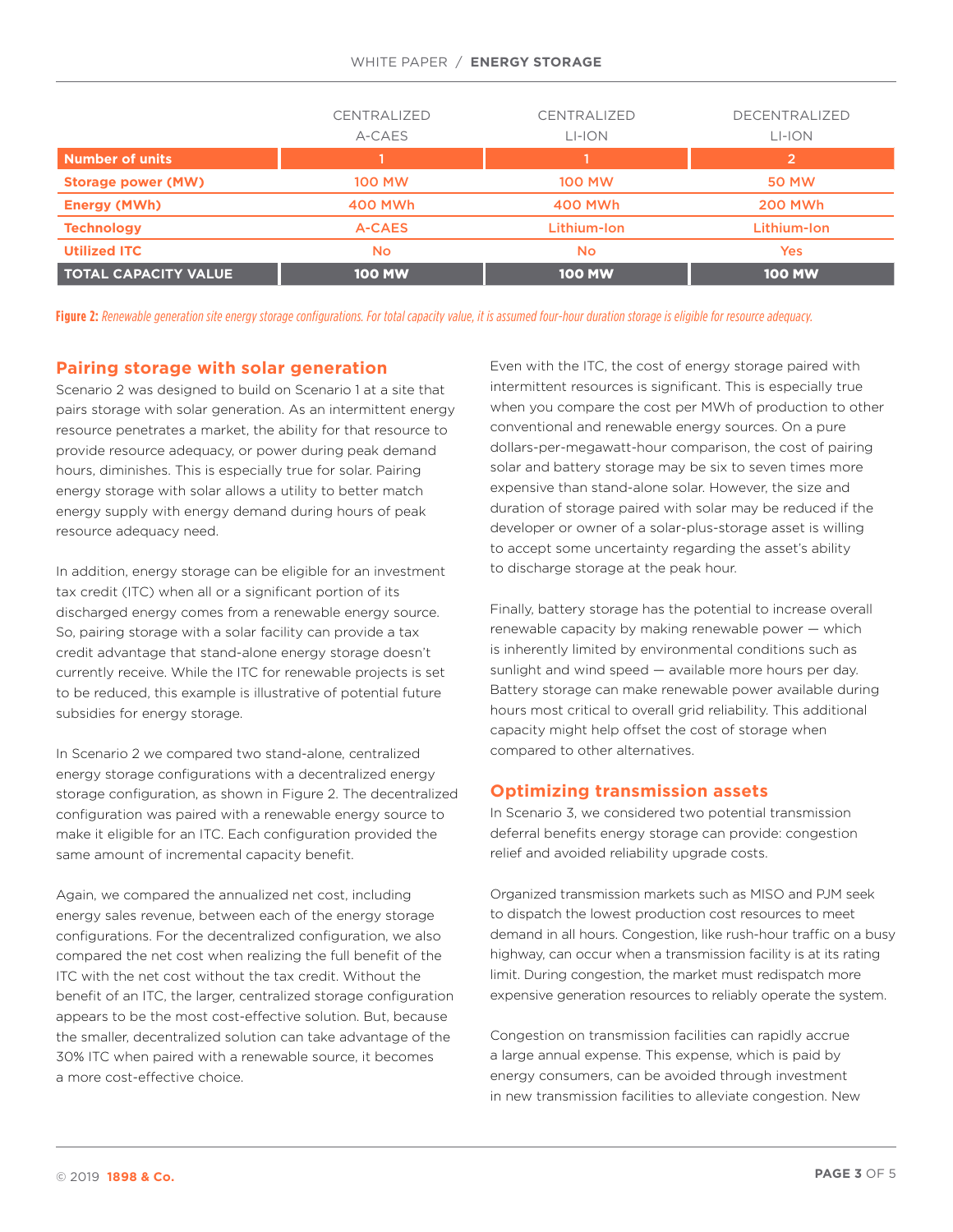#### WHITE PAPER / **ENERGY STORAGE**

|                             | CENTRALIZED<br>A-CAES | CENTRALIZED<br>LI-ION | <b>DECENTRALIZED</b><br>LI-ION |
|-----------------------------|-----------------------|-----------------------|--------------------------------|
| <b>Number of units</b>      |                       |                       | $\overline{2}$                 |
| <b>Storage power (MW)</b>   | <b>100 MW</b>         | <b>100 MW</b>         | <b>50 MW</b>                   |
| <b>Energy (MWh)</b>         | <b>400 MWh</b>        | <b>400 MWh</b>        | <b>200 MWh</b>                 |
| <b>Technology</b>           | <b>A-CAES</b>         | Lithium-Ion           | Lithium-Ion                    |
| <b>Utilized ITC</b>         | <b>No</b>             | <b>No</b>             | <b>Yes</b>                     |
| <b>TOTAL CAPACITY VALUE</b> | <b>100 MW</b>         | <b>100 MW</b>         | <b>100 MW</b>                  |

**Figure 2:** *Renewable generation site energy storage configurations. For total capacity value, it is assumed four-hour duration storage is eligible for resource adequacy.*

#### **Pairing storage with solar generation**

Scenario 2 was designed to build on Scenario 1 at a site that pairs storage with solar generation. As an intermittent energy resource penetrates a market, the ability for that resource to provide resource adequacy, or power during peak demand hours, diminishes. This is especially true for solar. Pairing energy storage with solar allows a utility to better match energy supply with energy demand during hours of peak resource adequacy need.

In addition, energy storage can be eligible for an investment tax credit (ITC) when all or a significant portion of its discharged energy comes from a renewable energy source. So, pairing storage with a solar facility can provide a tax credit advantage that stand-alone energy storage doesn't currently receive. While the ITC for renewable projects is set to be reduced, this example is illustrative of potential future subsidies for energy storage.

In Scenario 2 we compared two stand-alone, centralized energy storage configurations with a decentralized energy storage configuration, as shown in Figure 2. The decentralized configuration was paired with a renewable energy source to make it eligible for an ITC. Each configuration provided the same amount of incremental capacity benefit.

Again, we compared the annualized net cost, including energy sales revenue, between each of the energy storage configurations. For the decentralized configuration, we also compared the net cost when realizing the full benefit of the ITC with the net cost without the tax credit. Without the benefit of an ITC, the larger, centralized storage configuration appears to be the most cost-effective solution. But, because the smaller, decentralized solution can take advantage of the 30% ITC when paired with a renewable source, it becomes a more cost-effective choice.

Even with the ITC, the cost of energy storage paired with intermittent resources is significant. This is especially true when you compare the cost per MWh of production to other conventional and renewable energy sources. On a pure dollars-per-megawatt-hour comparison, the cost of pairing solar and battery storage may be six to seven times more expensive than stand-alone solar. However, the size and duration of storage paired with solar may be reduced if the developer or owner of a solar-plus-storage asset is willing to accept some uncertainty regarding the asset's ability to discharge storage at the peak hour.

Finally, battery storage has the potential to increase overall renewable capacity by making renewable power — which is inherently limited by environmental conditions such as sunlight and wind speed — available more hours per day. Battery storage can make renewable power available during hours most critical to overall grid reliability. This additional capacity might help offset the cost of storage when compared to other alternatives.

## **Optimizing transmission assets**

In Scenario 3, we considered two potential transmission deferral benefits energy storage can provide: congestion relief and avoided reliability upgrade costs.

Organized transmission markets such as MISO and PJM seek to dispatch the lowest production cost resources to meet demand in all hours. Congestion, like rush-hour traffic on a busy highway, can occur when a transmission facility is at its rating limit. During congestion, the market must redispatch more expensive generation resources to reliably operate the system.

Congestion on transmission facilities can rapidly accrue a large annual expense. This expense, which is paid by energy consumers, can be avoided through investment in new transmission facilities to alleviate congestion. New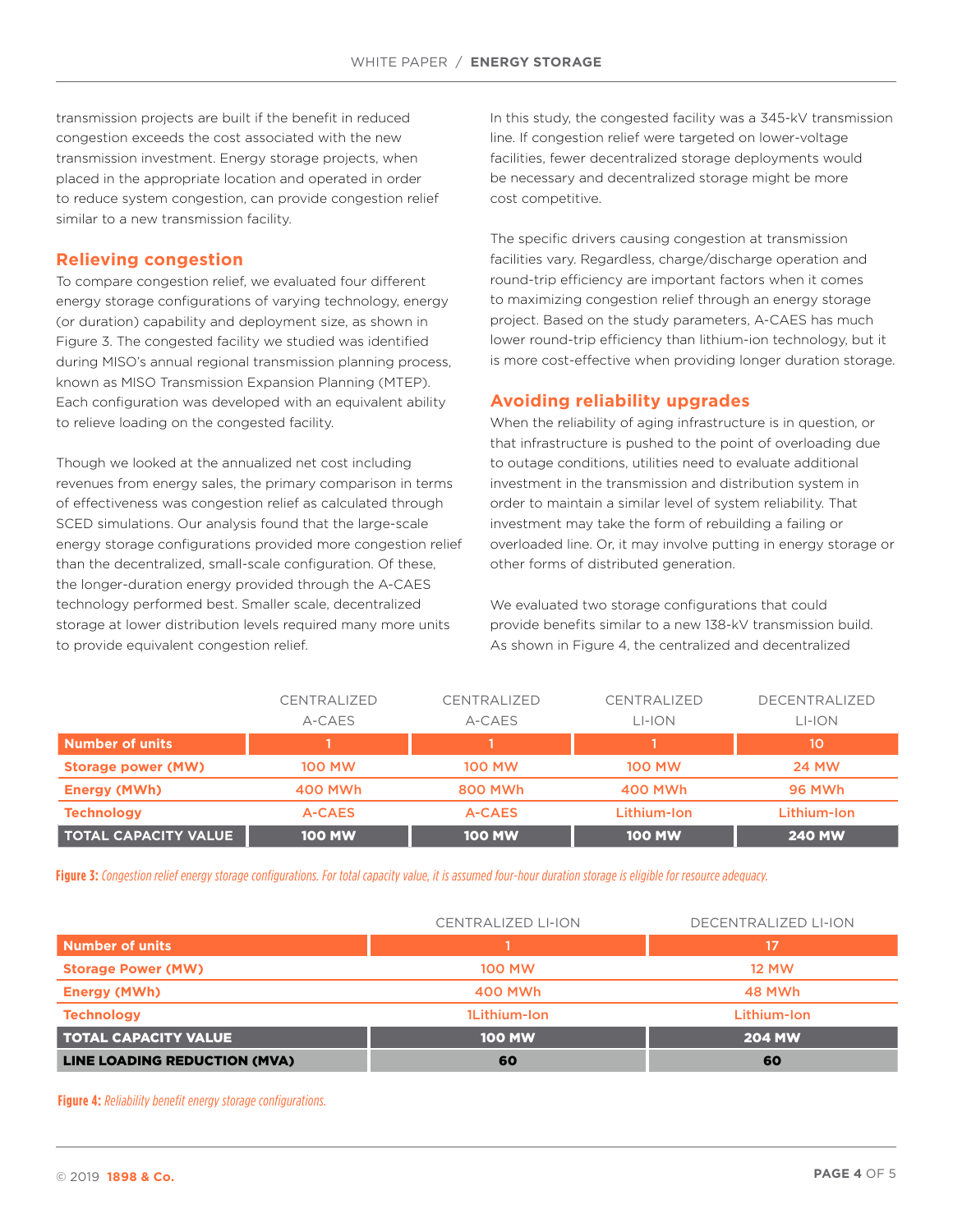transmission projects are built if the benefit in reduced congestion exceeds the cost associated with the new transmission investment. Energy storage projects, when placed in the appropriate location and operated in order to reduce system congestion, can provide congestion relief similar to a new transmission facility.

#### **Relieving congestion**

To compare congestion relief, we evaluated four different energy storage configurations of varying technology, energy (or duration) capability and deployment size, as shown in Figure 3. The congested facility we studied was identified during MISO's annual regional transmission planning process, known as MISO Transmission Expansion Planning (MTEP). Each configuration was developed with an equivalent ability to relieve loading on the congested facility.

Though we looked at the annualized net cost including revenues from energy sales, the primary comparison in terms of effectiveness was congestion relief as calculated through SCED simulations. Our analysis found that the large-scale energy storage configurations provided more congestion relief than the decentralized, small-scale configuration. Of these, the longer-duration energy provided through the A-CAES technology performed best. Smaller scale, decentralized storage at lower distribution levels required many more units to provide equivalent congestion relief.

In this study, the congested facility was a 345-kV transmission line. If congestion relief were targeted on lower-voltage facilities, fewer decentralized storage deployments would be necessary and decentralized storage might be more cost competitive.

The specific drivers causing congestion at transmission facilities vary. Regardless, charge/discharge operation and round-trip efficiency are important factors when it comes to maximizing congestion relief through an energy storage project. Based on the study parameters, A-CAES has much lower round-trip efficiency than lithium-ion technology, but it is more cost-effective when providing longer duration storage.

#### **Avoiding reliability upgrades**

When the reliability of aging infrastructure is in question, or that infrastructure is pushed to the point of overloading due to outage conditions, utilities need to evaluate additional investment in the transmission and distribution system in order to maintain a similar level of system reliability. That investment may take the form of rebuilding a failing or overloaded line. Or, it may involve putting in energy storage or other forms of distributed generation.

We evaluated two storage configurations that could provide benefits similar to a new 138-kV transmission build. As shown in Figure 4, the centralized and decentralized

|                        | <b>CENTRALIZED</b> | CENTRALIZED   | CENTRALIZED   | <b>DECENTRALIZED</b> |
|------------------------|--------------------|---------------|---------------|----------------------|
|                        | A-CAES             | A-CAES        | LI-ION        | li-ion               |
| <b>Number of units</b> |                    |               |               | 10                   |
| Storage power (MW)     | <b>100 MW</b>      | <b>100 MW</b> | <b>100 MW</b> | <b>24 MW</b>         |
| <b>Energy (MWh)</b>    | 400 MWh            | 800 MWh       | 400 MWh       | <b>96 MWh</b>        |
| <b>Technology</b>      | A-CAES             | A-CAES        | Lithium-Ion   | Lithium-Ion          |
| TOTAL CAPACITY VALUE   | <b>100 MW</b>      | <b>100 MW</b> | <b>100 MW</b> | <b>240 MW</b>        |

**Figure 3:** *Congestion relief energy storage configurations. For total capacity value, it is assumed four-hour duration storage is eligible for resource adequacy.*

|                                     | <b>CENTRALIZED LI-ION</b> | <b>DECENTRALIZED LI-ION</b> |
|-------------------------------------|---------------------------|-----------------------------|
| Number of units                     |                           | 17                          |
| <b>Storage Power (MW)</b>           | <b>100 MW</b>             | <b>12 MW</b>                |
| <b>Energy (MWh)</b>                 | <b>400 MWh</b>            | 48 MWh                      |
| <b>Technology</b>                   | 1Lithium-Ion              | Lithium-Ion                 |
| <b>TOTAL CAPACITY VALUE</b>         | <b>100 MW</b>             | <b>204 MW</b>               |
| <b>LINE LOADING REDUCTION (MVA)</b> | 60                        | 60                          |

**Figure 4:** *Reliability benefit energy storage configurations.*